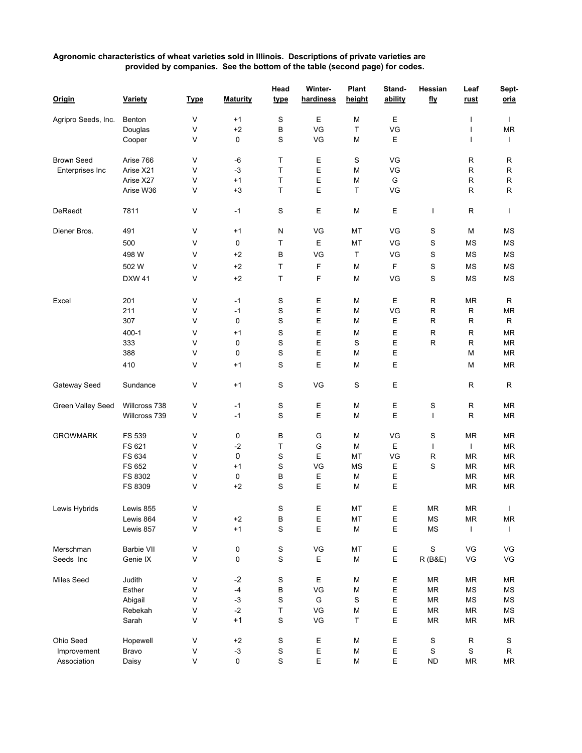## **Agronomic characteristics of wheat varieties sold in Illinois. Descriptions of private varieties are provided by companies. See the bottom of the table (second page) for codes.**

|                     |               |             |                 | Head        | Winter-     | Plant     | Stand-  | Hessian              | Leaf         | Sept-        |
|---------------------|---------------|-------------|-----------------|-------------|-------------|-----------|---------|----------------------|--------------|--------------|
| Origin              | Variety       | <b>Type</b> | <b>Maturity</b> | <u>type</u> | hardiness   | height    | ability | fly                  | <u>rust</u>  | oria         |
| Agripro Seeds, Inc. | Benton        | V           | $+1$            | S           | Е           | М         | Ε       |                      | ı            | $\mathbf{I}$ |
|                     | Douglas       | V           | $+2$            | B           | VG          | T         | VG      |                      |              | <b>MR</b>    |
|                     | Cooper        | V           | 0               | S           | VG          | М         | Ε       |                      | I            | $\mathbf{I}$ |
| <b>Brown Seed</b>   | Arise 766     | V           | -6              | т           | Ε           | S         | VG      |                      | R            | R            |
| Enterprises Inc     | Arise X21     | V           | $-3$            | Τ           | Е           | М         | VG      |                      | $\mathsf{R}$ | R            |
|                     | Arise X27     | V           | $+1$            | Τ           | $\mathsf E$ | М         | G       |                      | R            | R            |
|                     | Arise W36     | V           | $+3$            | Τ           | Ε           | т         | VG      |                      | R            | R            |
| DeRaedt             | 7811          | V           | $-1$            | S           | Ε           | М         | Ε       | I                    | $\mathsf{R}$ | $\mathbf{I}$ |
| Diener Bros.        | 491           | V           | $+1$            | N           | VG          | MT        | VG      | S                    | M            | <b>MS</b>    |
|                     | 500           | V           | 0               | Τ           | Ε           | MT        | VG      | ${\mathbb S}$        | ΜS           | <b>MS</b>    |
|                     | 498 W         | V           | $+2$            | B           | VG          | T         | VG      | S                    | <b>MS</b>    | <b>MS</b>    |
|                     |               |             |                 |             |             |           |         |                      |              |              |
|                     | 502 W         | V           | $+2$            | Τ           | F           | М         | F       | $\mathbb S$          | <b>MS</b>    | <b>MS</b>    |
|                     | <b>DXW 41</b> | V           | $+2$            | Τ           | F           | М         | VG      | $\mathbb S$          | <b>MS</b>    | <b>MS</b>    |
| Excel               | 201           | V           | $-1$            | S           | Ε           | М         | Ε       | R                    | <b>MR</b>    | R            |
|                     | 211           | V           | $-1$            | S           | $\mathsf E$ | М         | VG      | R                    | $\mathsf{R}$ | MR           |
|                     | 307           | V           | 0               | S           | Ε           | M         | Е       | R                    | $\mathsf{R}$ | R            |
|                     | 400-1         | V           | +1              | S           | Ε           | M         | Ε       | R                    | $\mathsf{R}$ | ΜR           |
|                     | 333           | V           | 0               | S           | Ε           | S         | Ε       | R                    | $\mathsf{R}$ | MR           |
|                     | 388           | V           | 0               | S           | Ε           | М         | Ε       |                      | М            | МR           |
|                     | 410           | V           | +1              | S           | Е           | М         | Е       |                      | М            | MR           |
| Gateway Seed        | Sundance      | V           | $+1$            | S           | VG          | S         | Ε       |                      | $\mathsf{R}$ | R            |
| Green Valley Seed   | Willcross 738 | V           | $-1$            | S           | Ε           | М         | Ε       | S                    | R            | ΜR           |
|                     | Willcross 739 | V           | $-1$            | S           | E           | М         | E       | $\mathbf{I}$         | R            | МR           |
| <b>GROWMARK</b>     | FS 539        | V           | 0               | B           | G           | М         | VG      | S                    | <b>MR</b>    | MR           |
|                     | FS 621        | V           | $-2$            | Т           | G           | М         | Ε       | T                    | T            | MR           |
|                     | FS 634        | V           | 0               | S           | Ε           | MT        | VG      | R                    | <b>MR</b>    | MR           |
|                     | FS 652        | V           | $+1$            | S           | VG          | <b>MS</b> | Е       | S                    | <b>MR</b>    | MR           |
|                     | FS 8302       | V           | 0               | В           | Ε           | М         | Ε       |                      | <b>MR</b>    | MR           |
|                     | FS 8309       | V           | $+2$            | S           | Е           | М         | Е       |                      | <b>MR</b>    | MR           |
| Lewis Hybrids       | Lewis 855     | V           |                 | S           | Е           | MT        | Ε       | ${\sf MR}$           | MR           | $\mathbf{L}$ |
|                     | Lewis 864     | ٧           | $+2$            | B           | Ε           | MT        | E       | MS                   | <b>MR</b>    | MR           |
|                     | Lewis 857     | V           | $+1$            | $\mathbf S$ | Е           | М         | Е       | $\mathsf{MS}\xspace$ | $\mathbf{I}$ | $\mathbf{I}$ |
| Merschman           | Barbie VII    | V           | 0               | $\mathbf S$ | VG          | MT        | Ε       | $\mathbb S$          | VG           | VG           |
| Seeds Inc           | Genie IX      | V           | 0               | $\mathbb S$ | Ε           | M         | Е       | R (B&E)              | VG           | VG           |
| Miles Seed          | Judith        | V           | $-2$            | S           | Ε           | М         | Е       | <b>MR</b>            | <b>MR</b>    | MR           |
|                     | Esther        | V           | $-4$            | В           | VG          | М         | Ε       | MR                   | MS           | MS           |
|                     | Abigail       | V           | $-3$            | S           | G           | S         | Ε       | MR                   | MS           | MS           |
|                     | Rebekah       | ٧           | $-2$            | Τ           | VG          | М         | Е       | MR                   | <b>MR</b>    | ΜS           |
|                     | Sarah         | V           | $+1$            | S           | VG          | т         | Е       | <b>MR</b>            | <b>MR</b>    | MR           |
| Ohio Seed           | Hopewell      | V           | $^{\rm +2}$     | S           | Е           | М         | Ε       | $\mathbb S$          | ${\sf R}$    | S            |
| Improvement         | Bravo         | V           | $-3$            | S           | Ε           | М         | Ε       | $\mathbf S$          | S            | R            |
| Association         | Daisy         | V           | 0               | $\mathbf S$ | E           | M         | Ε       | <b>ND</b>            | MR           | MR           |